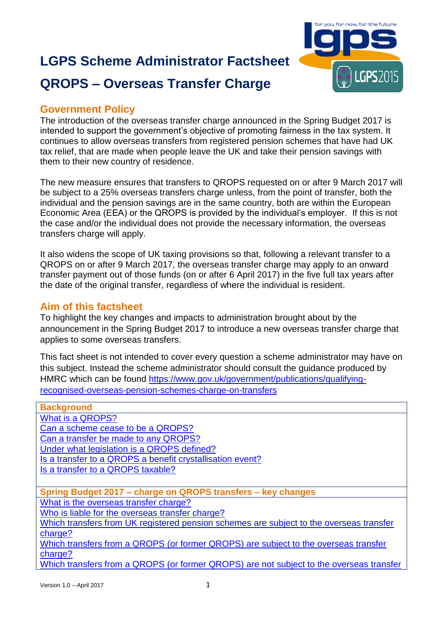# **LGPS Scheme Administrator Factsheet QROPS – Overseas Transfer Charge**



# **Government Policy**

The introduction of the overseas transfer charge announced in the Spring Budget 2017 is intended to support the government's objective of promoting fairness in the tax system. It continues to allow overseas transfers from registered pension schemes that have had UK tax relief, that are made when people leave the UK and take their pension savings with them to their new country of residence.

The new measure ensures that transfers to QROPS requested on or after 9 March 2017 will be subject to a 25% overseas transfers charge unless, from the point of transfer, both the individual and the pension savings are in the same country, both are within the European Economic Area (EEA) or the QROPS is provided by the individual's employer. If this is not the case and/or the individual does not provide the necessary information, the overseas transfers charge will apply.

It also widens the scope of UK taxing provisions so that, following a relevant transfer to a QROPS on or after 9 March 2017, the overseas transfer charge may apply to an onward transfer payment out of those funds (on or after 6 April 2017) in the five full tax years after the date of the original transfer, regardless of where the individual is resident.

# **Aim of this factsheet**

To highlight the key changes and impacts to administration brought about by the announcement in the Spring Budget 2017 to introduce a new overseas transfer charge that applies to some overseas transfers.

This fact sheet is not intended to cover every question a scheme administrator may have on this subject. Instead the scheme administrator should consult the guidance produced by HMRC which can be found [https://www.gov.uk/government/publications/qualifying](https://www.gov.uk/government/publications/qualifying-recognised-overseas-pension-schemes-charge-on-transfers)[recognised-overseas-pension-schemes-charge-on-transfers](https://www.gov.uk/government/publications/qualifying-recognised-overseas-pension-schemes-charge-on-transfers)

| <b>Background</b>                                                                       |  |  |
|-----------------------------------------------------------------------------------------|--|--|
| What is a QROPS?                                                                        |  |  |
| Can a scheme cease to be a QROPS?                                                       |  |  |
| Can a transfer be made to any QROPS?                                                    |  |  |
| Under what legislation is a QROPS defined?                                              |  |  |
| Is a transfer to a QROPS a benefit crystallisation event?                               |  |  |
| Is a transfer to a QROPS taxable?                                                       |  |  |
|                                                                                         |  |  |
| Spring Budget 2017 - charge on QROPS transfers - key changes                            |  |  |
| What is the overseas transfer charge?                                                   |  |  |
| Who is liable for the overseas transfer charge?                                         |  |  |
| Which transfers from UK registered pension schemes are subject to the overseas transfer |  |  |
| charge?                                                                                 |  |  |
| Which transfers from a QROPS (or former QROPS) are subject to the overseas transfer     |  |  |
| charge?                                                                                 |  |  |
| Which transfers from a QROPS (or former QROPS) are not subject to the overseas transfer |  |  |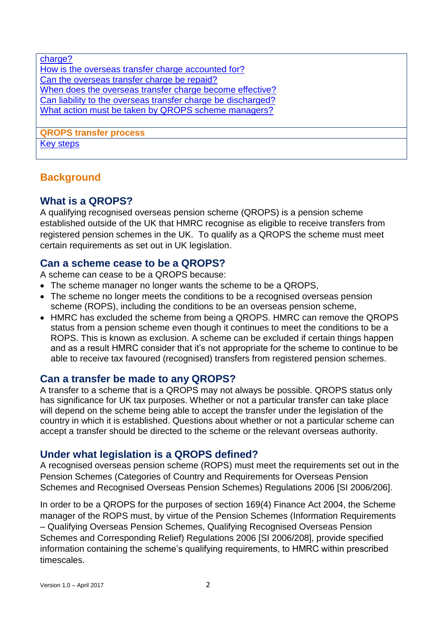| charge?                                                      |
|--------------------------------------------------------------|
| How is the overseas transfer charge accounted for?           |
| Can the overseas transfer charge be repaid?                  |
| When does the overseas transfer charge become effective?     |
| Can liability to the overseas transfer charge be discharged? |
| What action must be taken by QROPS scheme managers?          |
|                                                              |
| <b>QROPS transfer process</b>                                |
| <b>Key steps</b>                                             |
|                                                              |

# <span id="page-1-0"></span>**Background**

# **What is a QROPS?**

A qualifying recognised overseas pension scheme (QROPS) is a pension scheme established outside of the UK that HMRC recognise as eligible to receive transfers from registered pension schemes in the UK. To qualify as a QROPS the scheme must meet certain requirements as set out in UK legislation.

# <span id="page-1-1"></span>**Can a scheme cease to be a QROPS?**

A scheme can cease to be a QROPS because:

- The scheme manager no longer wants the scheme to be a QROPS,
- The scheme no longer meets the conditions to be a recognised overseas pension scheme (ROPS), including the conditions to be an overseas pension scheme,
- HMRC has excluded the scheme from being a QROPS. HMRC can remove the QROPS status from a pension scheme even though it continues to meet the conditions to be a ROPS. This is known as exclusion. A scheme can be excluded if certain things happen and as a result HMRC consider that it's not appropriate for the scheme to continue to be able to receive tax favoured (recognised) transfers from registered pension schemes.

# <span id="page-1-2"></span>**Can a transfer be made to any QROPS?**

A transfer to a scheme that is a QROPS may not always be possible. QROPS status only has significance for UK tax purposes. Whether or not a particular transfer can take place will depend on the scheme being able to accept the transfer under the legislation of the country in which it is established. Questions about whether or not a particular scheme can accept a transfer should be directed to the scheme or the relevant overseas authority.

# <span id="page-1-3"></span>**Under what legislation is a QROPS defined?**

A recognised overseas pension scheme (ROPS) must meet the requirements set out in the Pension Schemes (Categories of Country and Requirements for Overseas Pension Schemes and Recognised Overseas Pension Schemes) Regulations 2006 [SI 2006/206].

In order to be a QROPS for the purposes of section 169(4) Finance Act 2004, the Scheme manager of the ROPS must, by virtue of the Pension Schemes (Information Requirements – Qualifying Overseas Pension Schemes, Qualifying Recognised Overseas Pension Schemes and Corresponding Relief) Regulations 2006 [SI 2006/208], provide specified information containing the scheme's qualifying requirements, to HMRC within prescribed timescales.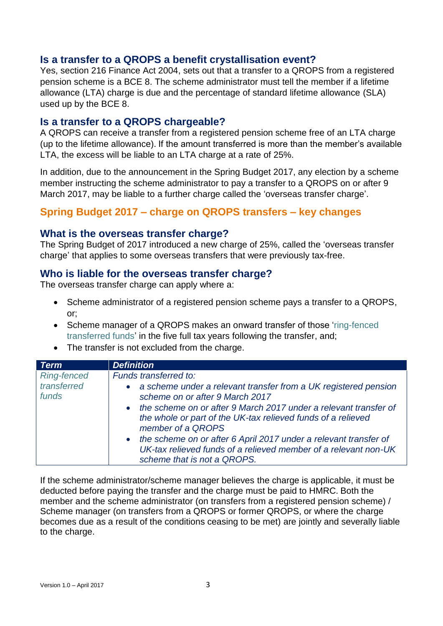# <span id="page-2-0"></span>**Is a transfer to a QROPS a benefit crystallisation event?**

Yes, section 216 Finance Act 2004, sets out that a transfer to a QROPS from a registered pension scheme is a BCE 8. The scheme administrator must tell the member if a lifetime allowance (LTA) charge is due and the percentage of standard lifetime allowance (SLA) used up by the BCE 8.

#### <span id="page-2-1"></span>**Is a transfer to a QROPS chargeable?**

A QROPS can receive a transfer from a registered pension scheme free of an LTA charge (up to the lifetime allowance). If the amount transferred is more than the member's available LTA, the excess will be liable to an LTA charge at a rate of 25%.

In addition, due to the announcement in the Spring Budget 2017, any election by a scheme member instructing the scheme administrator to pay a transfer to a QROPS on or after 9 March 2017, may be liable to a further charge called the 'overseas transfer charge'.

# **Spring Budget 2017 – charge on QROPS transfers – key changes**

#### <span id="page-2-2"></span>**What is the overseas transfer charge?**

The Spring Budget of 2017 introduced a new charge of 25%, called the 'overseas transfer charge' that applies to some overseas transfers that were previously tax-free.

#### <span id="page-2-3"></span>**Who is liable for the overseas transfer charge?**

The overseas transfer charge can apply where a:

- Scheme administrator of a registered pension scheme pays a transfer to a QROPS, or;
- Scheme manager of a QROPS makes an onward transfer of those 'ring-fenced transferred funds' in the five full tax years following the transfer, and;
- The transfer is not excluded from the charge.

| <b>Term</b>                                | <b>Definition</b>                                                                                                                                                                                                                                                                                                                                                                                                                                                       |
|--------------------------------------------|-------------------------------------------------------------------------------------------------------------------------------------------------------------------------------------------------------------------------------------------------------------------------------------------------------------------------------------------------------------------------------------------------------------------------------------------------------------------------|
| <b>Ring-fenced</b><br>transferred<br>funds | Funds transferred to:<br>a scheme under a relevant transfer from a UK registered pension<br>scheme on or after 9 March 2017<br>the scheme on or after 9 March 2017 under a relevant transfer of<br>the whole or part of the UK-tax relieved funds of a relieved<br>member of a QROPS<br>the scheme on or after 6 April 2017 under a relevant transfer of<br>$\bullet$<br>UK-tax relieved funds of a relieved member of a relevant non-UK<br>scheme that is not a QROPS. |

If the scheme administrator/scheme manager believes the charge is applicable, it must be deducted before paying the transfer and the charge must be paid to HMRC. Both the member and the scheme administrator (on transfers from a registered pension scheme) / Scheme manager (on transfers from a QROPS or former QROPS, or where the charge becomes due as a result of the conditions ceasing to be met) are jointly and severally liable to the charge.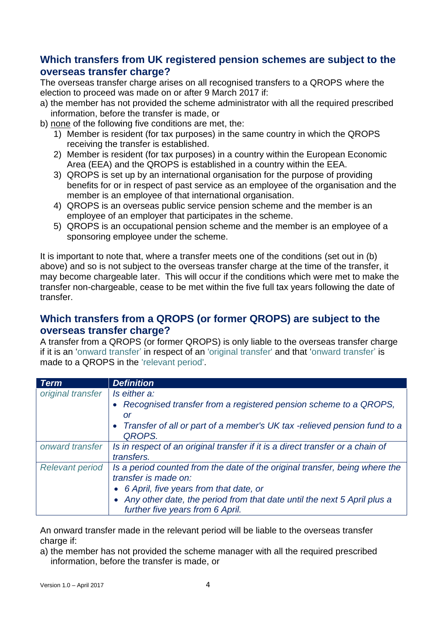# <span id="page-3-0"></span>**Which transfers from UK registered pension schemes are subject to the overseas transfer charge?**

The overseas transfer charge arises on all recognised transfers to a QROPS where the election to proceed was made on or after 9 March 2017 if:

- a) the member has not provided the scheme administrator with all the required prescribed information, before the transfer is made, or
- b) none of the following five conditions are met, the:
	- 1) Member is resident (for tax purposes) in the same country in which the QROPS receiving the transfer is established.
	- 2) Member is resident (for tax purposes) in a country within the European Economic Area (EEA) and the QROPS is established in a country within the EEA.
	- 3) QROPS is set up by an international organisation for the purpose of providing benefits for or in respect of past service as an employee of the organisation and the member is an employee of that international organisation.
	- 4) QROPS is an overseas public service pension scheme and the member is an employee of an employer that participates in the scheme.
	- 5) QROPS is an occupational pension scheme and the member is an employee of a sponsoring employee under the scheme.

It is important to note that, where a transfer meets one of the conditions (set out in (b) above) and so is not subject to the overseas transfer charge at the time of the transfer, it may become chargeable later. This will occur if the conditions which were met to make the transfer non-chargeable, cease to be met within the five full tax years following the date of transfer.

# <span id="page-3-1"></span>**Which transfers from a QROPS (or former QROPS) are subject to the overseas transfer charge?**

A transfer from a QROPS (or former QROPS) is only liable to the overseas transfer charge if it is an 'onward transfer' in respect of an 'original transfer' and that 'onward transfer' is made to a QROPS in the 'relevant period'.

| <b>Term</b>            | <b>Definition</b>                                                                    |
|------------------------|--------------------------------------------------------------------------------------|
| original transfer      | Is either a:                                                                         |
|                        | • Recognised transfer from a registered pension scheme to a QROPS,                   |
|                        | or                                                                                   |
|                        | • Transfer of all or part of a member's UK tax -relieved pension fund to a<br>QROPS. |
| onward transfer        | Is in respect of an original transfer if it is a direct transfer or a chain of       |
|                        | transfers.                                                                           |
| <b>Relevant period</b> | Is a period counted from the date of the original transfer, being where the          |
|                        | transfer is made on:                                                                 |
|                        | • 6 April, five years from that date, or                                             |
|                        | • Any other date, the period from that date until the next 5 April plus a            |
|                        | further five years from 6 April.                                                     |

An onward transfer made in the relevant period will be liable to the overseas transfer charge if:

a) the member has not provided the scheme manager with all the required prescribed information, before the transfer is made, or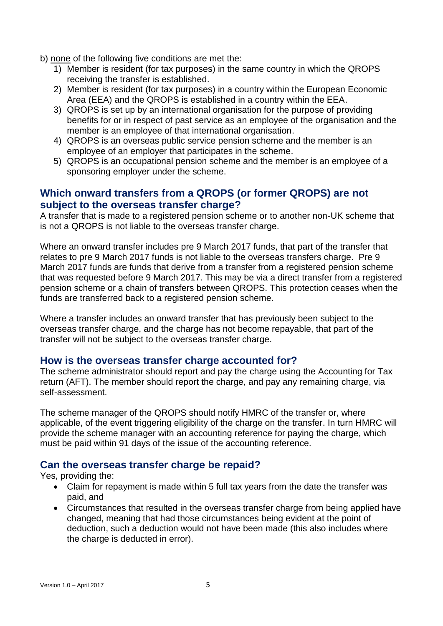- b) none of the following five conditions are met the:
	- 1) Member is resident (for tax purposes) in the same country in which the QROPS receiving the transfer is established.
	- 2) Member is resident (for tax purposes) in a country within the European Economic Area (EEA) and the QROPS is established in a country within the EEA.
	- 3) QROPS is set up by an international organisation for the purpose of providing benefits for or in respect of past service as an employee of the organisation and the member is an employee of that international organisation.
	- 4) QROPS is an overseas public service pension scheme and the member is an employee of an employer that participates in the scheme.
	- 5) QROPS is an occupational pension scheme and the member is an employee of a sponsoring employer under the scheme.

# <span id="page-4-0"></span>**Which onward transfers from a QROPS (or former QROPS) are not subject to the overseas transfer charge?**

A transfer that is made to a registered pension scheme or to another non-UK scheme that is not a QROPS is not liable to the overseas transfer charge.

Where an onward transfer includes pre 9 March 2017 funds, that part of the transfer that relates to pre 9 March 2017 funds is not liable to the overseas transfers charge. Pre 9 March 2017 funds are funds that derive from a transfer from a registered pension scheme that was requested before 9 March 2017. This may be via a direct transfer from a registered pension scheme or a chain of transfers between QROPS. This protection ceases when the funds are transferred back to a registered pension scheme.

Where a transfer includes an onward transfer that has previously been subject to the overseas transfer charge, and the charge has not become repayable, that part of the transfer will not be subject to the overseas transfer charge.

#### <span id="page-4-1"></span>**How is the overseas transfer charge accounted for?**

The scheme administrator should report and pay the charge using the Accounting for Tax return (AFT). The member should report the charge, and pay any remaining charge, via self-assessment.

The scheme manager of the QROPS should notify HMRC of the transfer or, where applicable, of the event triggering eligibility of the charge on the transfer. In turn HMRC will provide the scheme manager with an accounting reference for paying the charge, which must be paid within 91 days of the issue of the accounting reference.

# <span id="page-4-2"></span>**Can the overseas transfer charge be repaid?**

Yes, providing the:

- Claim for repayment is made within 5 full tax years from the date the transfer was paid, and
- Circumstances that resulted in the overseas transfer charge from being applied have changed, meaning that had those circumstances being evident at the point of deduction, such a deduction would not have been made (this also includes where the charge is deducted in error).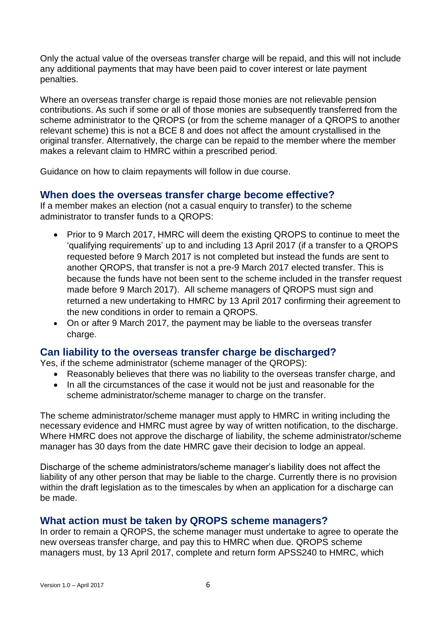Only the actual value of the overseas transfer charge will be repaid, and this will not include any additional payments that may have been paid to cover interest or late payment penalties.

Where an overseas transfer charge is repaid those monies are not relievable pension contributions. As such if some or all of those monies are subsequently transferred from the scheme administrator to the QROPS (or from the scheme manager of a QROPS to another relevant scheme) this is not a BCE 8 and does not affect the amount crystallised in the original transfer. Alternatively, the charge can be repaid to the member where the member makes a relevant claim to HMRC within a prescribed period.

Guidance on how to claim repayments will follow in due course.

#### <span id="page-5-0"></span>**When does the overseas transfer charge become effective?**

If a member makes an election (not a casual enquiry to transfer) to the scheme administrator to transfer funds to a QROPS:

- Prior to 9 March 2017, HMRC will deem the existing QROPS to continue to meet the 'qualifying requirements' up to and including 13 April 2017 (if a transfer to a QROPS requested before 9 March 2017 is not completed but instead the funds are sent to another QROPS, that transfer is not a pre-9 March 2017 elected transfer. This is because the funds have not been sent to the scheme included in the transfer request made before 9 March 2017). All scheme managers of QROPS must sign and returned a new undertaking to HMRC by 13 April 2017 confirming their agreement to the new conditions in order to remain a QROPS.
- On or after 9 March 2017, the payment may be liable to the overseas transfer charge.

#### <span id="page-5-1"></span>**Can liability to the overseas transfer charge be discharged?**

Yes, if the scheme administrator (scheme manager of the QROPS):

- Reasonably believes that there was no liability to the overseas transfer charge, and
- In all the circumstances of the case it would not be just and reasonable for the scheme administrator/scheme manager to charge on the transfer.

The scheme administrator/scheme manager must apply to HMRC in writing including the necessary evidence and HMRC must agree by way of written notification, to the discharge. Where HMRC does not approve the discharge of liability, the scheme administrator/scheme manager has 30 days from the date HMRC gave their decision to lodge an appeal.

Discharge of the scheme administrators/scheme manager's liability does not affect the liability of any other person that may be liable to the charge. Currently there is no provision within the draft legislation as to the timescales by when an application for a discharge can be made.

#### **What action must be taken by QROPS scheme managers?**

In order to remain a QROPS, the scheme manager must undertake to agree to operate the new overseas transfer charge, and pay this to HMRC when due. QROPS scheme managers must, by 13 April 2017, complete and return form APSS240 to HMRC, which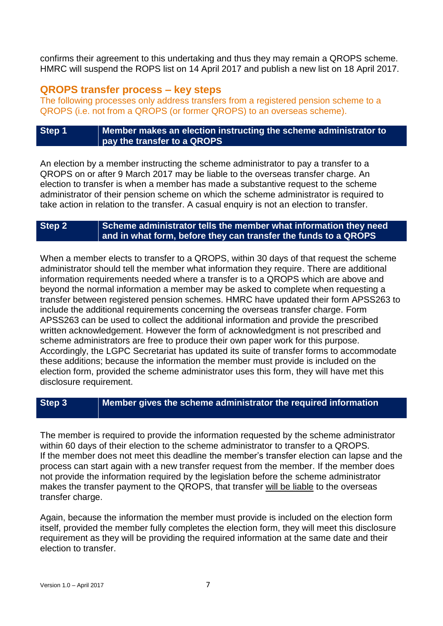confirms their agreement to this undertaking and thus they may remain a QROPS scheme. HMRC will suspend the ROPS list on 14 April 2017 and publish a new list on 18 April 2017.

#### **QROPS transfer process – key steps**

The following processes only address transfers from a registered pension scheme to a QROPS (i.e. not from a QROPS (or former QROPS) to an overseas scheme).

#### <span id="page-6-0"></span>**Step 1 Member makes an election instructing the scheme administrator to pay the transfer to a QROPS**

An election by a member instructing the scheme administrator to pay a transfer to a QROPS on or after 9 March 2017 may be liable to the overseas transfer charge. An election to transfer is when a member has made a substantive request to the scheme administrator of their pension scheme on which the scheme administrator is required to take action in relation to the transfer. A casual enquiry is not an election to transfer.

#### **Step 2 Scheme administrator tells the member what information they need and in what form, before they can transfer the funds to a QROPS**

When a member elects to transfer to a QROPS, within 30 days of that request the scheme administrator should tell the member what information they require. There are additional information requirements needed where a transfer is to a QROPS which are above and beyond the normal information a member may be asked to complete when requesting a transfer between registered pension schemes. HMRC have updated their form APSS263 to include the additional requirements concerning the overseas transfer charge. Form APSS263 can be used to collect the additional information and provide the prescribed written acknowledgement. However the form of acknowledgment is not prescribed and scheme administrators are free to produce their own paper work for this purpose. Accordingly, the LGPC Secretariat has updated its suite of transfer forms to accommodate these additions; because the information the member must provide is included on the election form, provided the scheme administrator uses this form, they will have met this disclosure requirement.

#### **Step 3 Member gives the scheme administrator the required information**

The member is required to provide the information requested by the scheme administrator within 60 days of their election to the scheme administrator to transfer to a QROPS. If the member does not meet this deadline the member's transfer election can lapse and the process can start again with a new transfer request from the member. If the member does not provide the information required by the legislation before the scheme administrator makes the transfer payment to the QROPS, that transfer will be liable to the overseas transfer charge.

Again, because the information the member must provide is included on the election form itself, provided the member fully completes the election form, they will meet this disclosure requirement as they will be providing the required information at the same date and their election to transfer.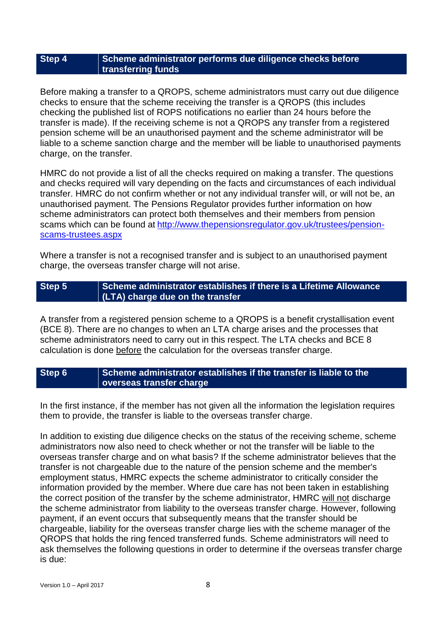#### **Step 4 Scheme administrator performs due diligence checks before transferring funds**

Before making a transfer to a QROPS, scheme administrators must carry out due diligence checks to ensure that the scheme receiving the transfer is a QROPS (this includes checking the published list of ROPS notifications no earlier than 24 hours before the transfer is made). If the receiving scheme is not a QROPS any transfer from a registered pension scheme will be an unauthorised payment and the scheme administrator will be liable to a scheme sanction charge and the member will be liable to unauthorised payments charge, on the transfer.

HMRC do not provide a list of all the checks required on making a transfer. The questions and checks required will vary depending on the facts and circumstances of each individual transfer. HMRC do not confirm whether or not any individual transfer will, or will not be, an unauthorised payment. The Pensions Regulator provides further information on how scheme administrators can protect both themselves and their members from pension scams which can be found at [http://www.thepensionsregulator.gov.uk/trustees/pension](http://www.thepensionsregulator.gov.uk/trustees/pension-scams-trustees.aspx)[scams-trustees.aspx](http://www.thepensionsregulator.gov.uk/trustees/pension-scams-trustees.aspx) 

Where a transfer is not a recognised transfer and is subject to an unauthorised payment charge, the overseas transfer charge will not arise.

#### **Step 5 Scheme administrator establishes if there is a Lifetime Allowance (LTA) charge due on the transfer**

A transfer from a registered pension scheme to a QROPS is a benefit crystallisation event (BCE 8). There are no changes to when an LTA charge arises and the processes that scheme administrators need to carry out in this respect. The LTA checks and BCE 8 calculation is done before the calculation for the overseas transfer charge.

#### **Step 6 Scheme administrator establishes if the transfer is liable to the overseas transfer charge**

In the first instance, if the member has not given all the information the legislation requires them to provide, the transfer is liable to the overseas transfer charge.

In addition to existing due diligence checks on the status of the receiving scheme, scheme administrators now also need to check whether or not the transfer will be liable to the overseas transfer charge and on what basis? If the scheme administrator believes that the transfer is not chargeable due to the nature of the pension scheme and the member's employment status, HMRC expects the scheme administrator to critically consider the information provided by the member. Where due care has not been taken in establishing the correct position of the transfer by the scheme administrator, HMRC will not discharge the scheme administrator from liability to the overseas transfer charge. However, following payment, if an event occurs that subsequently means that the transfer should be chargeable, liability for the overseas transfer charge lies with the scheme manager of the QROPS that holds the ring fenced transferred funds. Scheme administrators will need to ask themselves the following questions in order to determine if the overseas transfer charge is due: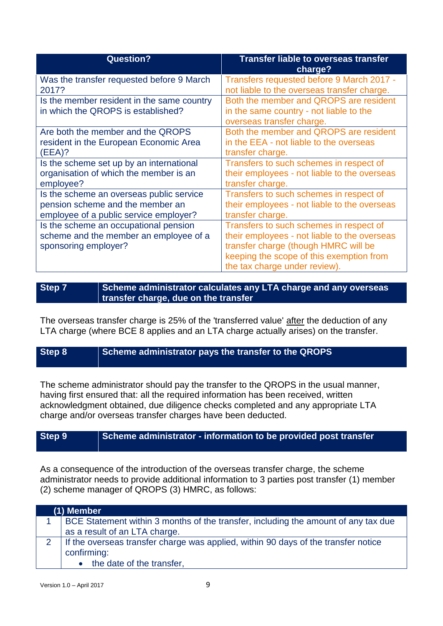| <b>Question?</b>                           | <b>Transfer liable to overseas transfer</b><br>charge? |
|--------------------------------------------|--------------------------------------------------------|
| Was the transfer requested before 9 March  | Transfers requested before 9 March 2017 -              |
| 2017?                                      | not liable to the overseas transfer charge.            |
| Is the member resident in the same country | Both the member and QROPS are resident                 |
| in which the QROPS is established?         | in the same country - not liable to the                |
|                                            | overseas transfer charge.                              |
| Are both the member and the QROPS          | Both the member and QROPS are resident                 |
| resident in the European Economic Area     | in the EEA - not liable to the overseas                |
| (EEA)?                                     | transfer charge.                                       |
| Is the scheme set up by an international   | Transfers to such schemes in respect of                |
| organisation of which the member is an     | their employees - not liable to the overseas           |
| employee?                                  | transfer charge.                                       |
| Is the scheme an overseas public service   | Transfers to such schemes in respect of                |
| pension scheme and the member an           | their employees - not liable to the overseas           |
| employee of a public service employer?     | transfer charge.                                       |
| Is the scheme an occupational pension      | Transfers to such schemes in respect of                |
| scheme and the member an employee of a     | their employees - not liable to the overseas           |
| sponsoring employer?                       | transfer charge (though HMRC will be                   |
|                                            | keeping the scope of this exemption from               |
|                                            | the tax charge under review).                          |

**Step 7 Scheme administrator calculates any LTA charge and any overseas transfer charge, due on the transfer** 

The overseas transfer charge is 25% of the 'transferred value' after the deduction of any LTA charge (where BCE 8 applies and an LTA charge actually arises) on the transfer.

# **Step 8 Scheme administrator pays the transfer to the QROPS**

The scheme administrator should pay the transfer to the QROPS in the usual manner, having first ensured that: all the required information has been received, written acknowledgment obtained, due diligence checks completed and any appropriate LTA charge and/or overseas transfer charges have been deducted.

# **Step 9 Scheme administrator - information to be provided post transfer**

As a consequence of the introduction of the overseas transfer charge, the scheme administrator needs to provide additional information to 3 parties post transfer (1) member (2) scheme manager of QROPS (3) HMRC, as follows:

|               | (1) Member                                                                         |  |
|---------------|------------------------------------------------------------------------------------|--|
|               | BCE Statement within 3 months of the transfer, including the amount of any tax due |  |
|               | as a result of an LTA charge.                                                      |  |
| $\mathcal{D}$ | If the overseas transfer charge was applied, within 90 days of the transfer notice |  |
|               | confirming:                                                                        |  |
|               | • the date of the transfer,                                                        |  |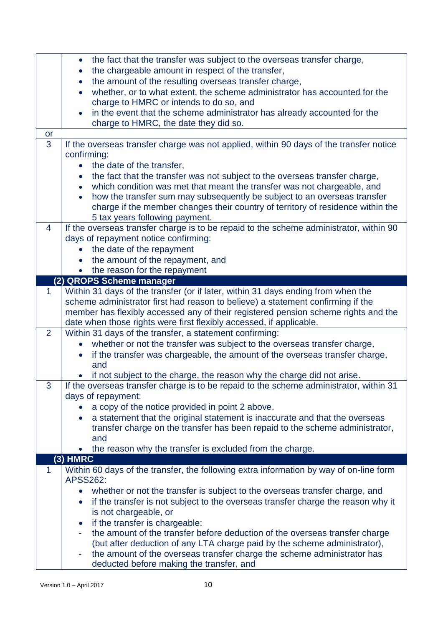|                | the fact that the transfer was subject to the overseas transfer charge,<br>$\bullet$          |
|----------------|-----------------------------------------------------------------------------------------------|
|                | the chargeable amount in respect of the transfer,<br>$\bullet$                                |
|                | the amount of the resulting overseas transfer charge,<br>$\bullet$                            |
|                | whether, or to what extent, the scheme administrator has accounted for the                    |
|                | charge to HMRC or intends to do so, and                                                       |
|                | in the event that the scheme administrator has already accounted for the<br>$\bullet$         |
|                | charge to HMRC, the date they did so.                                                         |
| <b>or</b>      |                                                                                               |
| 3              | If the overseas transfer charge was not applied, within 90 days of the transfer notice        |
|                | confirming:                                                                                   |
|                | the date of the transfer,<br>$\bullet$                                                        |
|                | the fact that the transfer was not subject to the overseas transfer charge,<br>$\bullet$      |
|                | which condition was met that meant the transfer was not chargeable, and<br>$\bullet$          |
|                | how the transfer sum may subsequently be subject to an overseas transfer<br>$\bullet$         |
|                | charge if the member changes their country of territory of residence within the               |
|                | 5 tax years following payment.                                                                |
| 4              | If the overseas transfer charge is to be repaid to the scheme administrator, within 90        |
|                | days of repayment notice confirming:                                                          |
|                | the date of the repayment<br>$\bullet$                                                        |
|                | the amount of the repayment, and<br>$\bullet$                                                 |
|                | • the reason for the repayment                                                                |
|                | (2) QROPS Scheme manager                                                                      |
| $\mathbf{1}$   | Within 31 days of the transfer (or if later, within 31 days ending from when the              |
|                | scheme administrator first had reason to believe) a statement confirming if the               |
|                | member has flexibly accessed any of their registered pension scheme rights and the            |
|                | date when those rights were first flexibly accessed, if applicable.                           |
| $\overline{2}$ | Within 31 days of the transfer, a statement confirming:                                       |
|                | whether or not the transfer was subject to the overseas transfer charge,                      |
|                | if the transfer was chargeable, the amount of the overseas transfer charge,<br>$\bullet$      |
|                | and                                                                                           |
|                | if not subject to the charge, the reason why the charge did not arise.                        |
| 3              | If the overseas transfer charge is to be repaid to the scheme administrator, within 31        |
|                | days of repayment:                                                                            |
|                | a copy of the notice provided in point 2 above.                                               |
|                | a statement that the original statement is inaccurate and that the overseas<br>$\bullet$      |
|                | transfer charge on the transfer has been repaid to the scheme administrator,                  |
|                | and                                                                                           |
|                | the reason why the transfer is excluded from the charge.                                      |
|                | $(3)$ HMRC                                                                                    |
| $\mathbf{1}$   | Within 60 days of the transfer, the following extra information by way of on-line form        |
|                | <b>APSS262:</b>                                                                               |
|                | whether or not the transfer is subject to the overseas transfer charge, and<br>$\bullet$      |
|                | if the transfer is not subject to the overseas transfer charge the reason why it<br>$\bullet$ |
|                | is not chargeable, or                                                                         |
|                | if the transfer is chargeable:<br>$\bullet$                                                   |
|                | the amount of the transfer before deduction of the overseas transfer charge                   |
|                | (but after deduction of any LTA charge paid by the scheme administrator),                     |
|                | the amount of the overseas transfer charge the scheme administrator has<br>۰                  |
|                | deducted before making the transfer, and                                                      |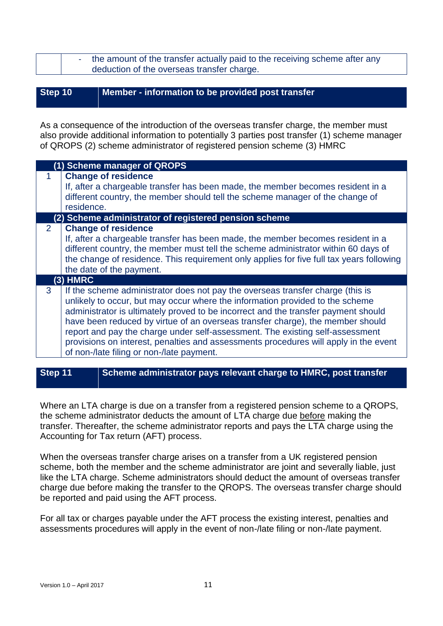|  | the amount of the transfer actually paid to the receiving scheme after any |
|--|----------------------------------------------------------------------------|
|  | deduction of the overseas transfer charge.                                 |

#### **Step 10 Member - information to be provided post transfer**

As a consequence of the introduction of the overseas transfer charge, the member must also provide additional information to potentially 3 parties post transfer (1) scheme manager of QROPS (2) scheme administrator of registered pension scheme (3) HMRC

|                | (1) Scheme manager of QROPS                                                                                                                                                                                                                                                                                                                                                                                                                                                                                                                                   |
|----------------|---------------------------------------------------------------------------------------------------------------------------------------------------------------------------------------------------------------------------------------------------------------------------------------------------------------------------------------------------------------------------------------------------------------------------------------------------------------------------------------------------------------------------------------------------------------|
|                | <b>Change of residence</b><br>If, after a chargeable transfer has been made, the member becomes resident in a<br>different country, the member should tell the scheme manager of the change of<br>residence.                                                                                                                                                                                                                                                                                                                                                  |
|                | (2) Scheme administrator of registered pension scheme                                                                                                                                                                                                                                                                                                                                                                                                                                                                                                         |
| $\overline{2}$ | <b>Change of residence</b><br>If, after a chargeable transfer has been made, the member becomes resident in a<br>different country, the member must tell the scheme administrator within 60 days of<br>the change of residence. This requirement only applies for five full tax years following<br>the date of the payment.                                                                                                                                                                                                                                   |
|                | $(3)$ HMRC                                                                                                                                                                                                                                                                                                                                                                                                                                                                                                                                                    |
| 3              | If the scheme administrator does not pay the overseas transfer charge (this is<br>unlikely to occur, but may occur where the information provided to the scheme<br>administrator is ultimately proved to be incorrect and the transfer payment should<br>have been reduced by virtue of an overseas transfer charge), the member should<br>report and pay the charge under self-assessment. The existing self-assessment<br>provisions on interest, penalties and assessments procedures will apply in the event<br>of non-/late filing or non-/late payment. |

# **Step 11 Scheme administrator pays relevant charge to HMRC, post transfer**

Where an LTA charge is due on a transfer from a registered pension scheme to a QROPS, the scheme administrator deducts the amount of LTA charge due before making the transfer. Thereafter, the scheme administrator reports and pays the LTA charge using the Accounting for Tax return (AFT) process.

When the overseas transfer charge arises on a transfer from a UK registered pension scheme, both the member and the scheme administrator are joint and severally liable, just like the LTA charge. Scheme administrators should deduct the amount of overseas transfer charge due before making the transfer to the QROPS. The overseas transfer charge should be reported and paid using the AFT process.

For all tax or charges payable under the AFT process the existing interest, penalties and assessments procedures will apply in the event of non-/late filing or non-/late payment.